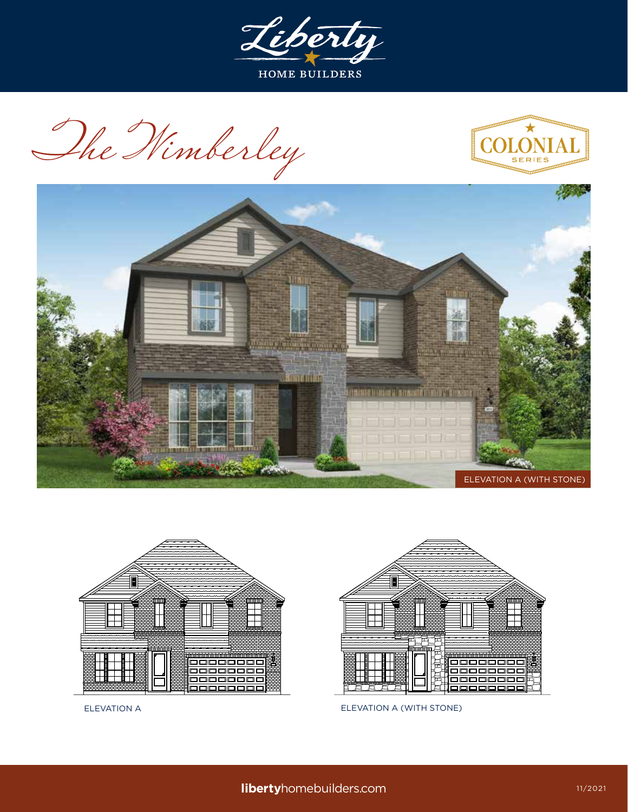

The Wimberley









ELEVATION A ELEVATION A (WITH STONE)